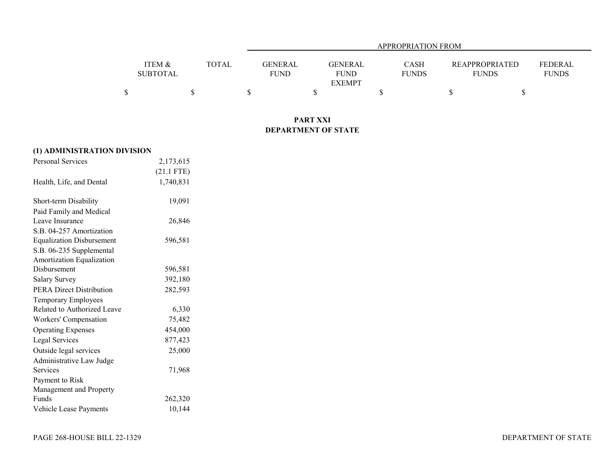|                 |              |         | APPROPRIATION FROM |              |                       |                |  |  |  |  |  |
|-----------------|--------------|---------|--------------------|--------------|-----------------------|----------------|--|--|--|--|--|
|                 |              |         |                    |              |                       |                |  |  |  |  |  |
| ITEM &          | <b>TOTAL</b> | GENERAL | GENERAL            | CASH         | <b>REAPPROPRIATED</b> | <b>FEDERAL</b> |  |  |  |  |  |
| <b>SUBTOTAL</b> |              | FUND    | <b>FUND</b>        | <b>FUNDS</b> | <b>FUNDS</b>          | <b>FUNDS</b>   |  |  |  |  |  |
|                 |              |         | <b>EXEMPT</b>      |              |                       |                |  |  |  |  |  |
|                 |              |         |                    |              |                       |                |  |  |  |  |  |

## **PART XXI DEPARTMENT OF STATE**

| (1) ADMINISTRATION DIVISION      |              |  |
|----------------------------------|--------------|--|
| <b>Personal Services</b>         | 2,173,615    |  |
|                                  | $(21.1$ FTE) |  |
| Health, Life, and Dental         | 1,740,831    |  |
| Short-term Disability            | 19,091       |  |
| Paid Family and Medical          |              |  |
| Leave Insurance                  | 26,846       |  |
| S.B. 04-257 Amortization         |              |  |
| <b>Equalization Disbursement</b> | 596,581      |  |
| S.B. 06-235 Supplemental         |              |  |
| Amortization Equalization        |              |  |
| Disbursement                     | 596,581      |  |
| <b>Salary Survey</b>             | 392,180      |  |
| <b>PERA Direct Distribution</b>  | 282,593      |  |
| Temporary Employees              |              |  |
| Related to Authorized Leave      | 6,330        |  |
| Workers' Compensation            | 75,482       |  |
| <b>Operating Expenses</b>        | 454,000      |  |
| Legal Services                   | 877,423      |  |
| Outside legal services           | 25,000       |  |
| Administrative Law Judge         |              |  |
| Services                         | 71,968       |  |
| Payment to Risk                  |              |  |
| Management and Property          |              |  |
| Funds                            | 262,320      |  |
| Vehicle Lease Payments           | 10,144       |  |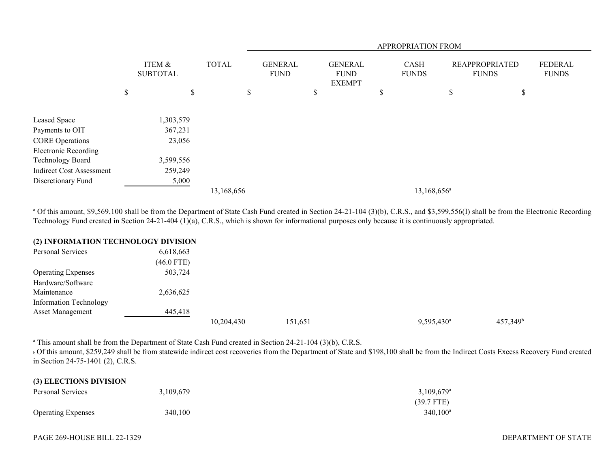|                                 |                           |              |                               |                                                | APPROPRIATION FROM |                             |                                       |    |                         |  |
|---------------------------------|---------------------------|--------------|-------------------------------|------------------------------------------------|--------------------|-----------------------------|---------------------------------------|----|-------------------------|--|
|                                 | ITEM &<br><b>SUBTOTAL</b> | <b>TOTAL</b> | <b>GENERAL</b><br><b>FUND</b> | <b>GENERAL</b><br><b>FUND</b><br><b>EXEMPT</b> |                    | <b>CASH</b><br><b>FUNDS</b> | <b>REAPPROPRIATED</b><br><b>FUNDS</b> |    | FEDERAL<br><b>FUNDS</b> |  |
|                                 | \$<br>\$                  |              | \$                            | \$                                             | \$                 |                             | \$                                    | \$ |                         |  |
| Leased Space                    | 1,303,579                 |              |                               |                                                |                    |                             |                                       |    |                         |  |
| Payments to OIT                 | 367,231                   |              |                               |                                                |                    |                             |                                       |    |                         |  |
| <b>CORE Operations</b>          | 23,056                    |              |                               |                                                |                    |                             |                                       |    |                         |  |
| <b>Electronic Recording</b>     |                           |              |                               |                                                |                    |                             |                                       |    |                         |  |
| Technology Board                | 3,599,556                 |              |                               |                                                |                    |                             |                                       |    |                         |  |
| <b>Indirect Cost Assessment</b> | 259,249                   |              |                               |                                                |                    |                             |                                       |    |                         |  |
| Discretionary Fund              | 5,000                     |              |                               |                                                |                    |                             |                                       |    |                         |  |
|                                 |                           | 13,168,656   |                               |                                                |                    | 13,168,656 <sup>a</sup>     |                                       |    |                         |  |

<sup>a</sup> Of this amount, \$9,569,100 shall be from the Department of State Cash Fund created in Section 24-21-104 (3)(b), C.R.S., and \$3,599,556(I) shall be from the Electronic Recording Technology Fund created in Section 24-21-404 (1)(a), C.R.S., which is shown for informational purposes only because it is continuously appropriated.

## **(2) INFORMATION TECHNOLOGY DIVISION**

| Personal Services             | 6,618,663    |            |         |                        |             |
|-------------------------------|--------------|------------|---------|------------------------|-------------|
|                               | $(46.0$ FTE) |            |         |                        |             |
| <b>Operating Expenses</b>     | 503,724      |            |         |                        |             |
| Hardware/Software             |              |            |         |                        |             |
| Maintenance                   | 2,636,625    |            |         |                        |             |
| <b>Information Technology</b> |              |            |         |                        |             |
| <b>Asset Management</b>       | 445,418      |            |         |                        |             |
|                               |              | 10,204,430 | 151,651 | 9,595,430 <sup>a</sup> | $457,349^b$ |

<sup>a</sup> This amount shall be from the Department of State Cash Fund created in Section 24-21-104 (3)(b), C.R.S.

**b Of this amount, \$259,249 shall be from statewide indirect cost recoveries from the Department of State and \$198,100 shall be from the Indirect Costs Excess Recovery Fund created** in Section 24-75-1401 (2), C.R.S.

| (3) ELECTIONS DIVISION    |           |                          |
|---------------------------|-----------|--------------------------|
| Personal Services         | 3.109.679 | $3,109,679$ <sup>a</sup> |
|                           |           | $(39.7$ FTE)             |
| <b>Operating Expenses</b> | 340,100   | $340.100^{\circ}$        |

**(3) ELECTIONS DIVISION**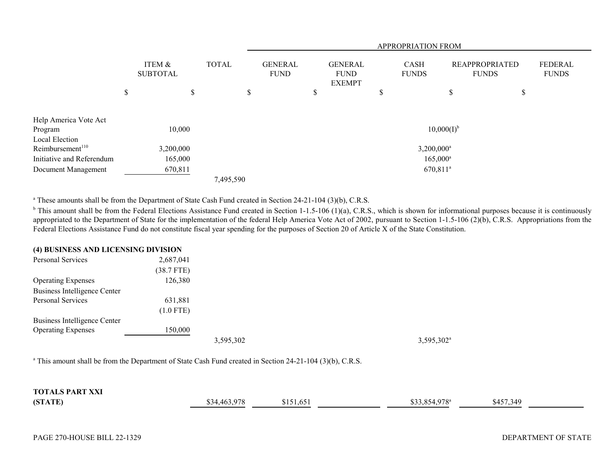|                                                |                           |    | <b>APPROPRIATION FROM</b> |  |                               |    |                                                |   |                             |                                       |    |                                |
|------------------------------------------------|---------------------------|----|---------------------------|--|-------------------------------|----|------------------------------------------------|---|-----------------------------|---------------------------------------|----|--------------------------------|
|                                                | ITEM &<br><b>SUBTOTAL</b> |    | <b>TOTAL</b>              |  | <b>GENERAL</b><br><b>FUND</b> |    | <b>GENERAL</b><br><b>FUND</b><br><b>EXEMPT</b> |   | <b>CASH</b><br><b>FUNDS</b> | <b>REAPPROPRIATED</b><br><b>FUNDS</b> |    | <b>FEDERAL</b><br><b>FUNDS</b> |
|                                                | \$                        | \$ | ъ                         |  |                               | \$ |                                                | P |                             | \$                                    | \$ |                                |
| Help America Vote Act<br>Program               | 10,000                    |    |                           |  |                               |    |                                                |   | $10,000(I)^{b}$             |                                       |    |                                |
| Local Election<br>Reimbursement <sup>110</sup> | 3,200,000                 |    |                           |  |                               |    |                                                |   | $3,200,000^a$               |                                       |    |                                |
| Initiative and Referendum                      | 165,000                   |    |                           |  |                               |    |                                                |   | $165,000^{\circ}$           |                                       |    |                                |
| Document Management                            | 670,811                   |    |                           |  |                               |    |                                                |   | 670,811 <sup>a</sup>        |                                       |    |                                |
|                                                |                           |    | 7,495,590                 |  |                               |    |                                                |   |                             |                                       |    |                                |

<sup>a</sup> These amounts shall be from the Department of State Cash Fund created in Section 24-21-104 (3)(b), C.R.S.

 $b$  This amount shall be from the Federal Elections Assistance Fund created in Section 1-1.5-106 (1)(a), C.R.S., which is shown for informational purposes because it is continuously appropriated to the Department of State for the implementation of the federal Help America Vote Act of 2002, pursuant to Section 1-1.5-106 (2)(b), C.R.S. Appropriations from the Federal Elections Assistance Fund do not constitute fiscal year spending for the purposes of Section 20 of Article X of the State Constitution.

## **(4) BUSINESS AND LICENSING DIVISION**

| Personal Services            | 2,687,041    |           |                        |
|------------------------------|--------------|-----------|------------------------|
|                              | $(38.7$ FTE) |           |                        |
| <b>Operating Expenses</b>    | 126,380      |           |                        |
| Business Intelligence Center |              |           |                        |
| Personal Services            | 631,881      |           |                        |
|                              | $(1.0$ FTE)  |           |                        |
| Business Intelligence Center |              |           |                        |
| <b>Operating Expenses</b>    | 150,000      |           |                        |
|                              |              | 3,595,302 | 3,595,302 <sup>a</sup> |
|                              |              |           |                        |

<sup>a</sup> This amount shall be from the Department of State Cash Fund created in Section 24-21-104 (3)(b), C.R.S.

| <b>TOTALS PART XXI</b> |              |                   |                           |           |  |
|------------------------|--------------|-------------------|---------------------------|-----------|--|
| (STATE)                | \$34,463,978 | 2151<br>\$151,651 | \$33,854,978 <sup>a</sup> | \$457,349 |  |